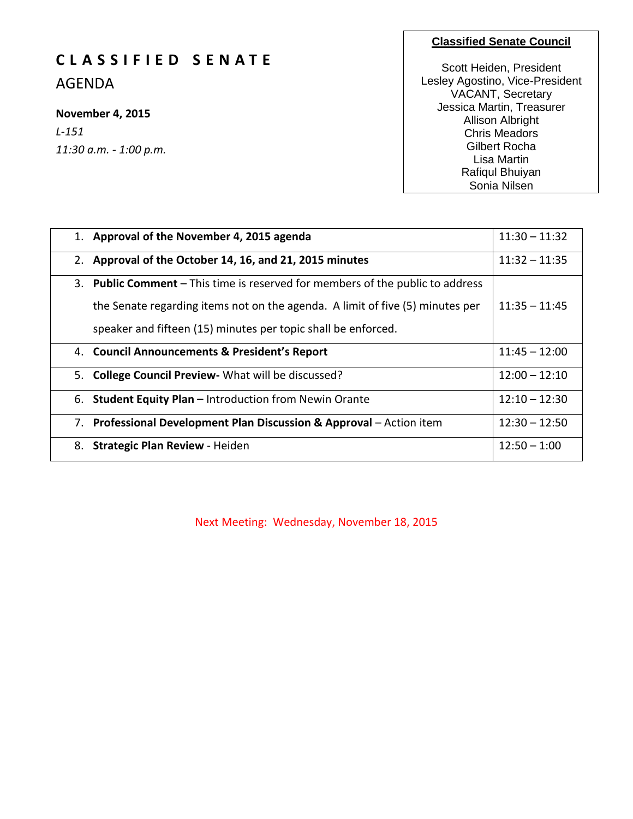# **C L A S S I F I E D S E N A T E**

AGENDA

## **November 4, 2015**

*L-151 11:30 a.m. - 1:00 p.m.*

## **Classified Senate Council**

Scott Heiden, President Lesley Agostino, Vice-President VACANT, Secretary Jessica Martin, Treasurer Allison Albright Chris Meadors Gilbert Rocha Lisa Martin Rafiqul Bhuiyan Sonia Nilsen

Wendy Holt

| 1. Approval of the November 4, 2015 agenda                                     | $11:30 - 11:32$ |
|--------------------------------------------------------------------------------|-----------------|
| 2. Approval of the October 14, 16, and 21, 2015 minutes                        | $11:32 - 11:35$ |
| 3. Public Comment – This time is reserved for members of the public to address |                 |
| the Senate regarding items not on the agenda. A limit of five (5) minutes per  | $11:35 - 11:45$ |
| speaker and fifteen (15) minutes per topic shall be enforced.                  |                 |
| 4. Council Announcements & President's Report                                  | $11:45 - 12:00$ |
| 5. College Council Preview - What will be discussed?                           | $12:00 - 12:10$ |
| 6. Student Equity Plan - Introduction from Newin Orante                        | $12:10 - 12:30$ |
| 7. Professional Development Plan Discussion & Approval – Action item           | $12:30 - 12:50$ |
| 8. Strategic Plan Review - Heiden                                              | $12:50 - 1:00$  |

Next Meeting: Wednesday, November 18, 2015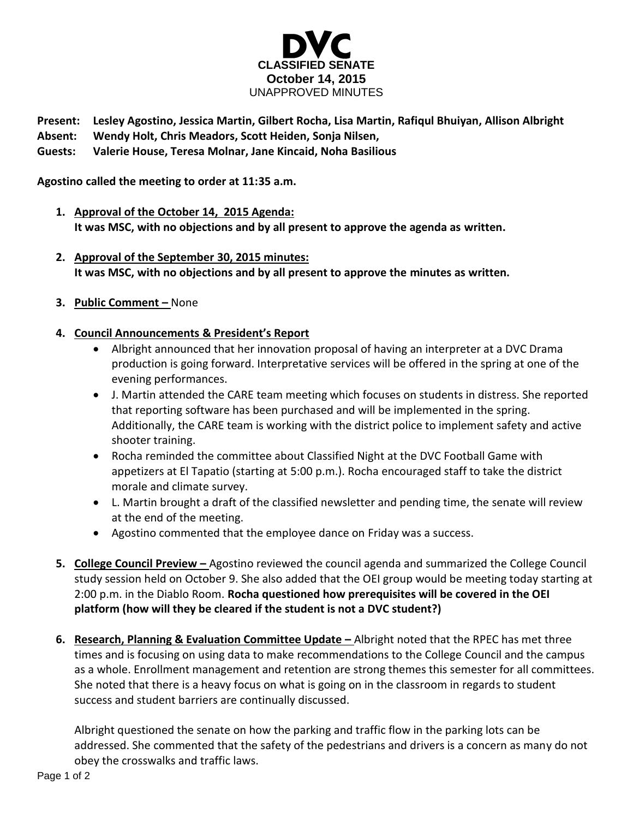

**Present: Lesley Agostino, Jessica Martin, Gilbert Rocha, Lisa Martin, Rafiqul Bhuiyan, Allison Albright**

**Absent: Wendy Holt, Chris Meadors, Scott Heiden, Sonja Nilsen,**

**Guests: Valerie House, Teresa Molnar, Jane Kincaid, Noha Basilious**

**Agostino called the meeting to order at 11:35 a.m.**

- **1. Approval of the October 14, 2015 Agenda: It was MSC, with no objections and by all present to approve the agenda as written.**
- **2. Approval of the September 30, 2015 minutes: It was MSC, with no objections and by all present to approve the minutes as written.**
- **3. Public Comment –** None
- **4. Council Announcements & President's Report**
	- Albright announced that her innovation proposal of having an interpreter at a DVC Drama production is going forward. Interpretative services will be offered in the spring at one of the evening performances.
	- J. Martin attended the CARE team meeting which focuses on students in distress. She reported that reporting software has been purchased and will be implemented in the spring. Additionally, the CARE team is working with the district police to implement safety and active shooter training.
	- Rocha reminded the committee about Classified Night at the DVC Football Game with appetizers at El Tapatio (starting at 5:00 p.m.). Rocha encouraged staff to take the district morale and climate survey.
	- L. Martin brought a draft of the classified newsletter and pending time, the senate will review at the end of the meeting.
	- Agostino commented that the employee dance on Friday was a success.
- **5. College Council Preview –** Agostino reviewed the council agenda and summarized the College Council study session held on October 9. She also added that the OEI group would be meeting today starting at 2:00 p.m. in the Diablo Room. **Rocha questioned how prerequisites will be covered in the OEI platform (how will they be cleared if the student is not a DVC student?)**
- **6.** Research, Planning & Evaluation Committee Update Albright noted that the RPEC has met three times and is focusing on using data to make recommendations to the College Council and the campus as a whole. Enrollment management and retention are strong themes this semester for all committees. She noted that there is a heavy focus on what is going on in the classroom in regards to student success and student barriers are continually discussed.

Albright questioned the senate on how the parking and traffic flow in the parking lots can be addressed. She commented that the safety of the pedestrians and drivers is a concern as many do not obey the crosswalks and traffic laws.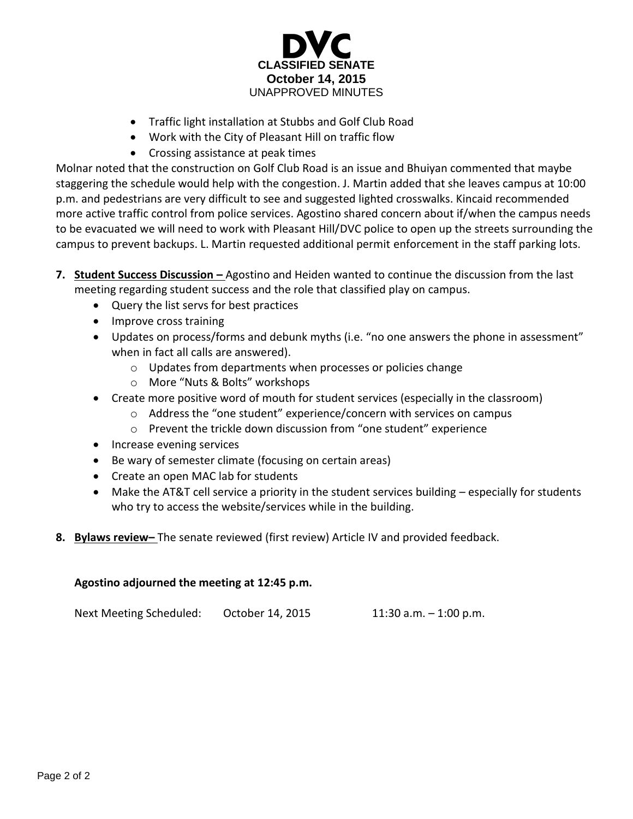

- Traffic light installation at Stubbs and Golf Club Road
- Work with the City of Pleasant Hill on traffic flow
- Crossing assistance at peak times

Molnar noted that the construction on Golf Club Road is an issue and Bhuiyan commented that maybe staggering the schedule would help with the congestion. J. Martin added that she leaves campus at 10:00 p.m. and pedestrians are very difficult to see and suggested lighted crosswalks. Kincaid recommended more active traffic control from police services. Agostino shared concern about if/when the campus needs to be evacuated we will need to work with Pleasant Hill/DVC police to open up the streets surrounding the campus to prevent backups. L. Martin requested additional permit enforcement in the staff parking lots.

- **7. Student Success Discussion –** Agostino and Heiden wanted to continue the discussion from the last meeting regarding student success and the role that classified play on campus.
	- Query the list servs for best practices
	- Improve cross training
	- Updates on process/forms and debunk myths (i.e. "no one answers the phone in assessment" when in fact all calls are answered).
		- o Updates from departments when processes or policies change
		- o More "Nuts & Bolts" workshops
	- Create more positive word of mouth for student services (especially in the classroom)
		- o Address the "one student" experience/concern with services on campus
		- o Prevent the trickle down discussion from "one student" experience
	- Increase evening services
	- Be wary of semester climate (focusing on certain areas)
	- Create an open MAC lab for students
	- Make the AT&T cell service a priority in the student services building especially for students who try to access the website/services while in the building.
- **8. Bylaws review–** The senate reviewed (first review) Article IV and provided feedback.

## **Agostino adjourned the meeting at 12:45 p.m.**

Next Meeting Scheduled: October 14, 2015 11:30 a.m. – 1:00 p.m.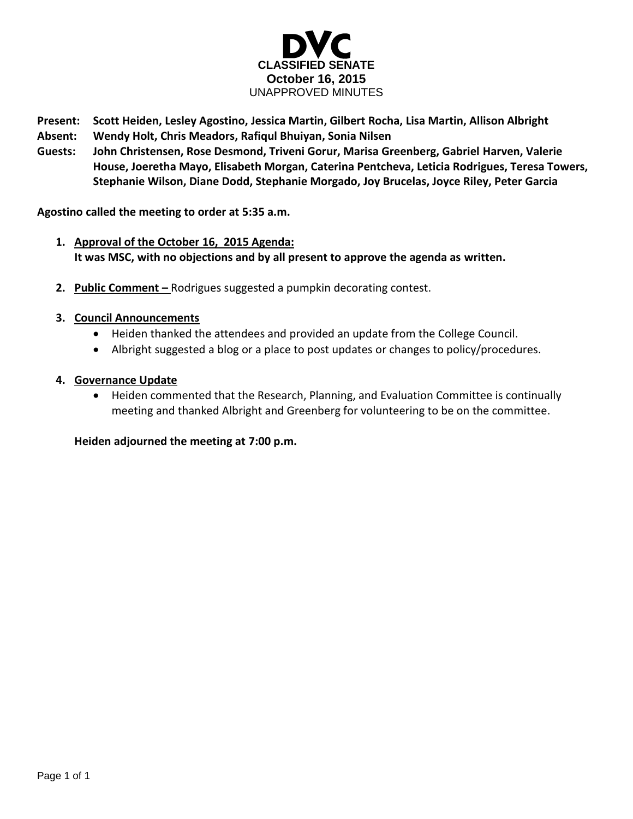

- **Present: Scott Heiden, Lesley Agostino, Jessica Martin, Gilbert Rocha, Lisa Martin, Allison Albright**
- **Absent: Wendy Holt, Chris Meadors, Rafiqul Bhuiyan, Sonia Nilsen**
- **Guests: John Christensen, Rose Desmond, Triveni Gorur, Marisa Greenberg, Gabriel Harven, Valerie House, Joeretha Mayo, Elisabeth Morgan, Caterina Pentcheva, Leticia Rodrigues, Teresa Towers, Stephanie Wilson, Diane Dodd, Stephanie Morgado, Joy Brucelas, Joyce Riley, Peter Garcia**

**Agostino called the meeting to order at 5:35 a.m.**

- **1. Approval of the October 16, 2015 Agenda: It was MSC, with no objections and by all present to approve the agenda as written.**
- **2. Public Comment –** Rodrigues suggested a pumpkin decorating contest.

## **3. Council Announcements**

- Heiden thanked the attendees and provided an update from the College Council.
- Albright suggested a blog or a place to post updates or changes to policy/procedures.

## **4. Governance Update**

 Heiden commented that the Research, Planning, and Evaluation Committee is continually meeting and thanked Albright and Greenberg for volunteering to be on the committee.

**Heiden adjourned the meeting at 7:00 p.m.**